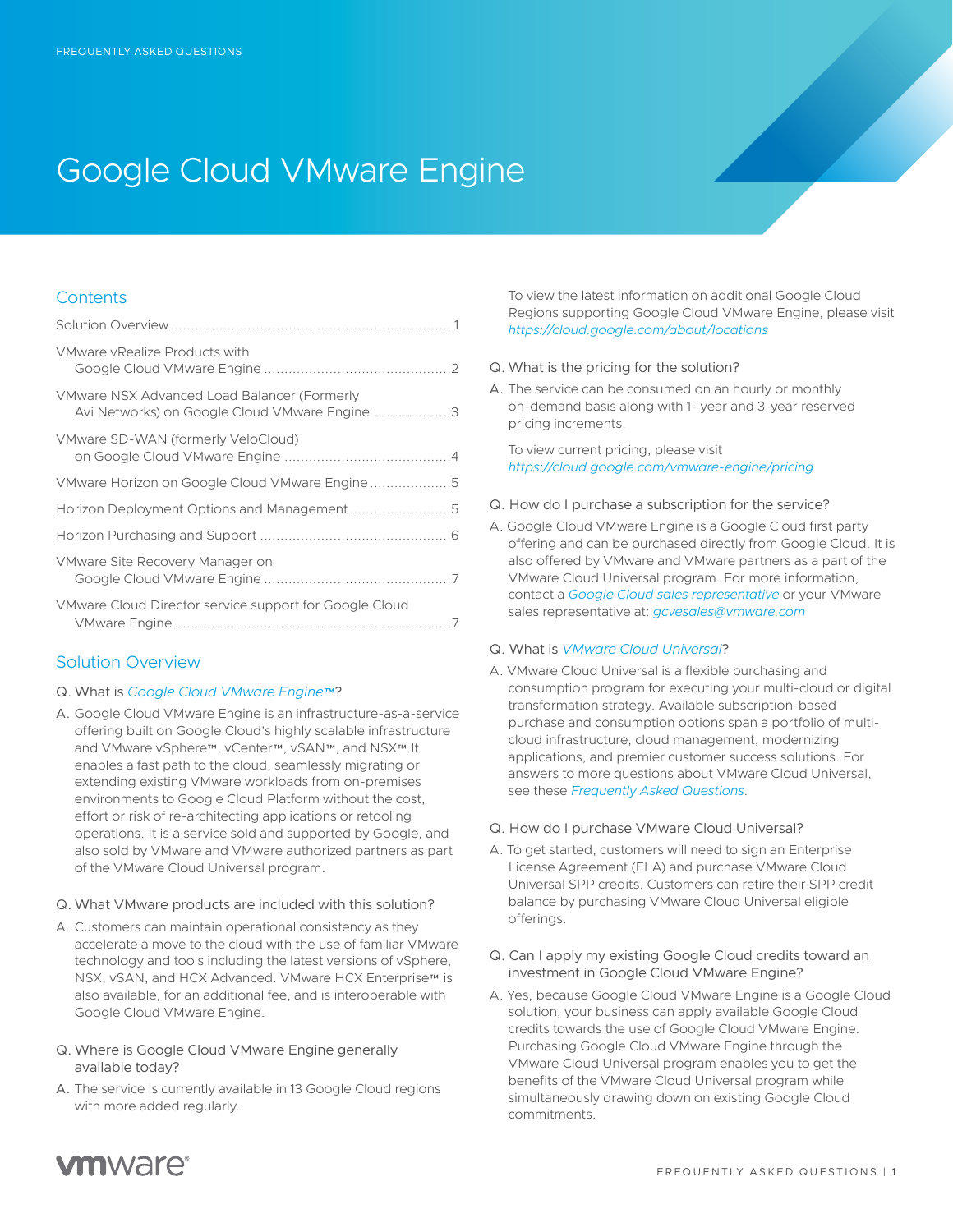# Google Cloud VMware Engine

### **Contents**

| VMware vRealize Products with                                                                |
|----------------------------------------------------------------------------------------------|
| VMware NSX Advanced Load Balancer (Formerly<br>Avi Networks) on Google Cloud VMware Engine 3 |
| VMware SD-WAN (formerly VeloCloud)                                                           |
|                                                                                              |
|                                                                                              |
|                                                                                              |
| VMware Site Recovery Manager on                                                              |
| VMware Cloud Director service support for Google Cloud                                       |

# Solution Overview

#### Q. What is *[Google Cloud VMware Engine™](https://www.vmware.com/cloud-solutions/google-cloud.html)*?

- A. Google Cloud VMware Engine is an infrastructure-as-a-service offering built on Google Cloud's highly scalable infrastructure and VMware vSphere™, vCenter™, vSAN™, and NSX™.It enables a fast path to the cloud, seamlessly migrating or extending existing VMware workloads from on-premises environments to Google Cloud Platform without the cost, effort or risk of re-architecting applications or retooling operations. It is a service sold and supported by Google, and also sold by VMware and VMware authorized partners as part of the VMware Cloud Universal program.
- Q. What VMware products are included with this solution?
- A. Customers can maintain operational consistency as they accelerate a move to the cloud with the use of familiar VMware technology and tools including the latest versions of vSphere, NSX, vSAN, and HCX Advanced. VMware HCX Enterprise™ is also available, for an additional fee, and is interoperable with Google Cloud VMware Engine.
- Q. Where is Google Cloud VMware Engine generally available today?
- A. The service is currently available in 13 Google Cloud regions with more added regularly.

To view the latest information on additional Google Cloud Regions supporting Google Cloud VMware Engine, please visit *<https://cloud.google.com/about/locations>*

- Q. What is the pricing for the solution?
- A. The service can be consumed on an hourly or monthly on-demand basis along with 1- year and 3-year reserved pricing increments.

To view current pricing, please visit *<https://cloud.google.com/vmware-engine/pricing>*

- Q. How do I purchase a subscription for the service?
- A. Google Cloud VMware Engine is a Google Cloud first party offering and can be purchased directly from Google Cloud. It is also offered by VMware and VMware partners as a part of the VMware Cloud Universal program. For more information, contact a *[Google Cloud sales representative](https://cloud.google.com/contact/)* or your VMware sales representative at: *[gcvesales@vmware.com](mailto:gcvesales%40vmware.com?subject=)*

#### Q. What is *[VMware Cloud Universal](https://www.vmware.com/products/cloud-universal.html)*?

- A. VMware Cloud Universal is a flexible purchasing and consumption program for executing your multi-cloud or digital transformation strategy. Available subscription-based purchase and consumption options span a portfolio of multicloud infrastructure, cloud management, modernizing applications, and premier customer success solutions. For answers to more questions about VMware Cloud Universal, see these *[Frequently Asked Questions](https://www.vmware.com/content/dam/digitalmarketing/vmware/en/pdf/docs/vmw-cloud-universal-faq.pdf)*.
- Q. How do I purchase VMware Cloud Universal?
- A. To get started, customers will need to sign an Enterprise License Agreement (ELA) and purchase VMware Cloud Universal SPP credits. Customers can retire their SPP credit balance by purchasing VMware Cloud Universal eligible offerings.
- Q. Can I apply my existing Google Cloud credits toward an investment in Google Cloud VMware Engine?
- A. Yes, because Google Cloud VMware Engine is a Google Cloud solution, your business can apply available Google Cloud credits towards the use of Google Cloud VMware Engine. Purchasing Google Cloud VMware Engine through the VMware Cloud Universal program enables you to get the benefits of the VMware Cloud Universal program while simultaneously drawing down on existing Google Cloud commitments.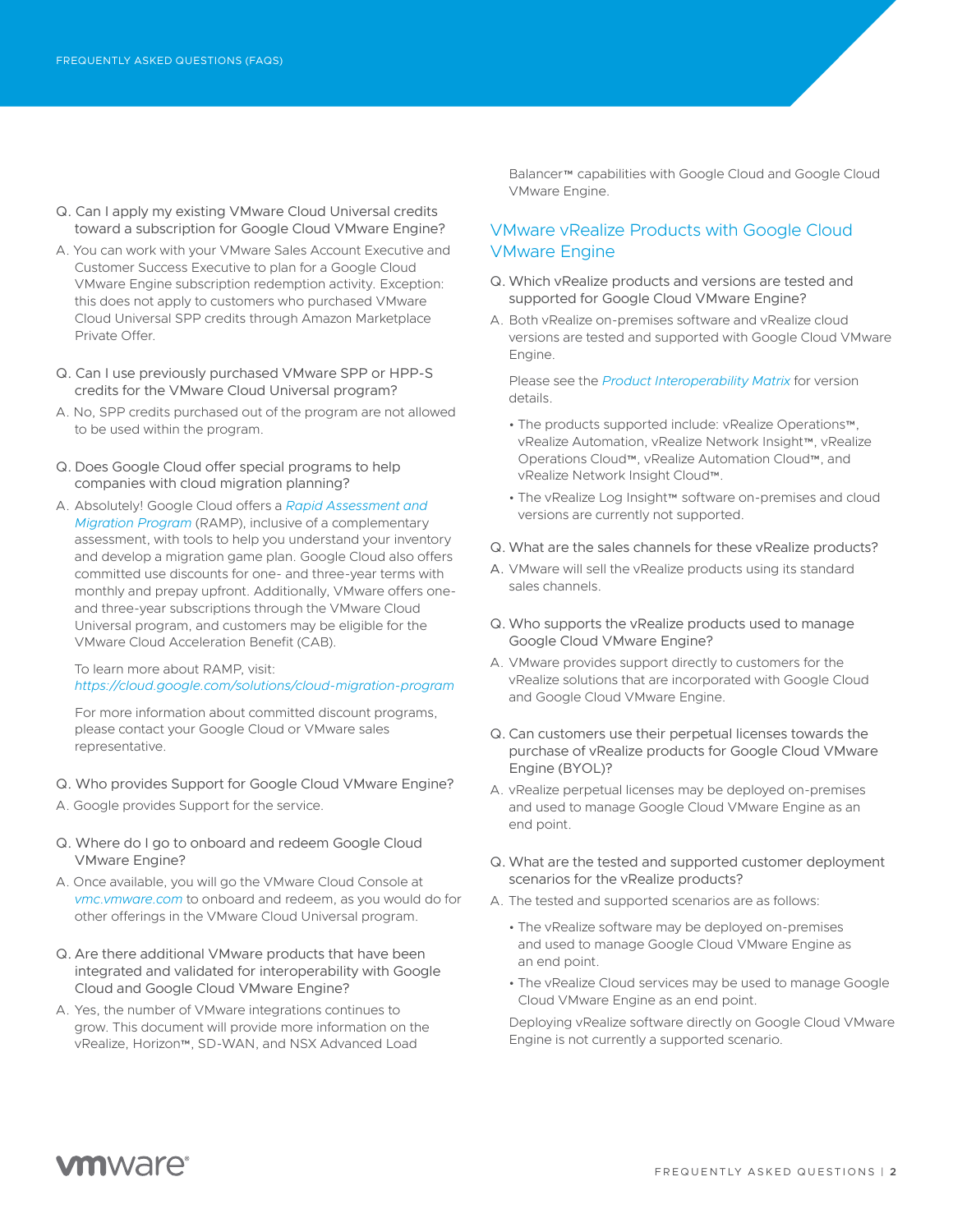- Q. Can I apply my existing VMware Cloud Universal credits toward a subscription for Google Cloud VMware Engine?
- A. You can work with your VMware Sales Account Executive and Customer Success Executive to plan for a Google Cloud VMware Engine subscription redemption activity. Exception: this does not apply to customers who purchased VMware Cloud Universal SPP credits through Amazon Marketplace Private Offer.
- Q. Can I use previously purchased VMware SPP or HPP-S credits for the VMware Cloud Universal program?
- A. No, SPP credits purchased out of the program are not allowed to be used within the program.
- Q. Does Google Cloud offer special programs to help companies with cloud migration planning?
- A. Absolutely! Google Cloud offers a *[Rapid Assessment and](https://cloud.google.com/solutions/cloud-migration-program)  [Migration Program](https://cloud.google.com/solutions/cloud-migration-program)* (RAMP), inclusive of a complementary assessment, with tools to help you understand your inventory and develop a migration game plan. Google Cloud also offers committed use discounts for one- and three-year terms with monthly and prepay upfront. Additionally, VMware offers oneand three-year subscriptions through the VMware Cloud Universal program, and customers may be eligible for the VMware Cloud Acceleration Benefit (CAB).

#### To learn more about RAMP, visit: *<https://cloud.google.com/solutions/cloud-migration-program>*

For more information about committed discount programs, please contact your Google Cloud or VMware sales representative.

- Q. Who provides Support for Google Cloud VMware Engine?
- A. Google provides Support for the service.
- Q. Where do I go to onboard and redeem Google Cloud VMware Engine?
- A. Once available, you will go the VMware Cloud Console at *[vmc.vmware.com](https://vmc.vmware.com)* to onboard and redeem, as you would do for other offerings in the VMware Cloud Universal program.
- Q. Are there additional VMware products that have been integrated and validated for interoperability with Google Cloud and Google Cloud VMware Engine?
- A. Yes, the number of VMware integrations continues to grow. This document will provide more information on the vRealize, Horizon™, SD-WAN, and NSX Advanced Load

Balancer™ capabilities with Google Cloud and Google Cloud VMware Engine.

# VMware vRealize Products with Google Cloud VMware Engine

- Q. Which vRealize products and versions are tested and supported for Google Cloud VMware Engine?
- A. Both vRealize on-premises software and vRealize cloud versions are tested and supported with Google Cloud VMware Engine.

Please see the *[Product Interoperability Matrix](https://interopmatrix.vmware.com/MultiCloud)* for version details.

- The products supported include: vRealize Operations™, vRealize Automation, vRealize Network Insight™, vRealize Operations Cloud™, vRealize Automation Cloud™, and vRealize Network Insight Cloud™.
- The vRealize Log Insight™ software on-premises and cloud versions are currently not supported.
- Q. What are the sales channels for these vRealize products?
- A. VMware will sell the vRealize products using its standard sales channels.
- Q. Who supports the vRealize products used to manage Google Cloud VMware Engine?
- A. VMware provides support directly to customers for the vRealize solutions that are incorporated with Google Cloud and Google Cloud VMware Engine.
- Q. Can customers use their perpetual licenses towards the purchase of vRealize products for Google Cloud VMware Engine (BYOL)?
- A. vRealize perpetual licenses may be deployed on-premises and used to manage Google Cloud VMware Engine as an end point.
- Q. What are the tested and supported customer deployment scenarios for the vRealize products?
- A. The tested and supported scenarios are as follows:
	- The vRealize software may be deployed on-premises and used to manage Google Cloud VMware Engine as an end point.
	- The vRealize Cloud services may be used to manage Google Cloud VMware Engine as an end point.

Deploying vRealize software directly on Google Cloud VMware Engine is not currently a supported scenario.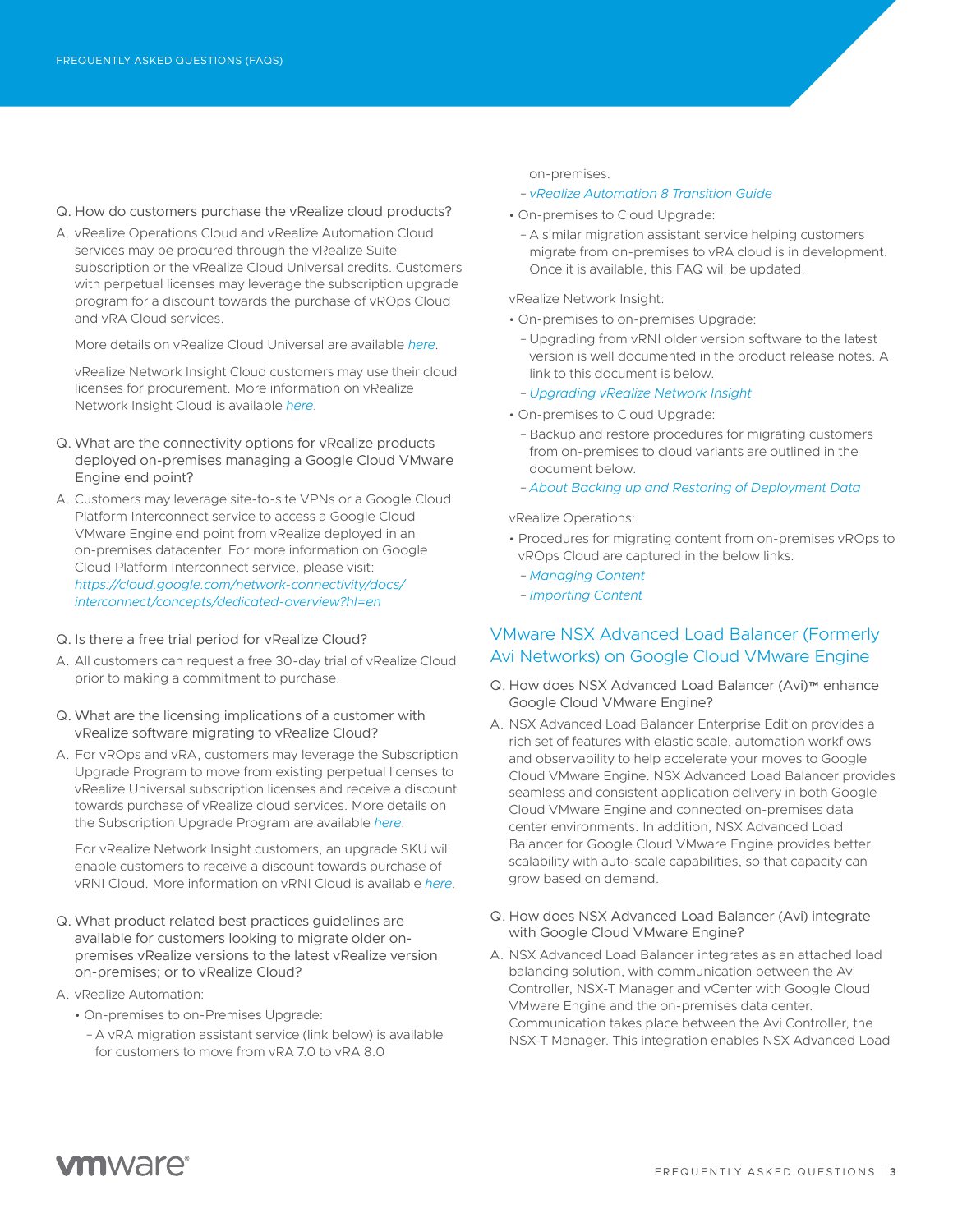- Q. How do customers purchase the vRealize cloud products?
- A. vRealize Operations Cloud and vRealize Automation Cloud services may be procured through the vRealize Suite subscription or the vRealize Cloud Universal credits. Customers with perpetual licenses may leverage the subscription upgrade program for a discount towards the purchase of vROps Cloud and vRA Cloud services.

More details on vRealize Cloud Universal are available *[here](https://www.vmware.com/products/vrealize-cloud-universal.html#general)*.

vRealize Network Insight Cloud customers may use their cloud licenses for procurement. More information on vRealize Network Insight Cloud is available *[here](https://www.vmware.com/products/vrealize-network-insight.html)*.

- Q. What are the connectivity options for vRealize products deployed on-premises managing a Google Cloud VMware Engine end point?
- A. Customers may leverage site-to-site VPNs or a Google Cloud Platform Interconnect service to access a Google Cloud VMware Engine end point from vRealize deployed in an on-premises datacenter. For more information on Google Cloud Platform Interconnect service, please visit: *[https://cloud.google.com/network-connectivity/docs/](https://cloud.google.com/network-connectivity/docs/interconnect/concepts/dedicated-overview?hl=en ) [interconnect/concepts/dedicated-overview?hl=en](https://cloud.google.com/network-connectivity/docs/interconnect/concepts/dedicated-overview?hl=en )*
- Q. Is there a free trial period for vRealize Cloud?
- A. All customers can request a free 30-day trial of vRealize Cloud prior to making a commitment to purchase.
- Q. What are the licensing implications of a customer with vRealize software migrating to vRealize Cloud?
- A. For vROps and vRA, customers may leverage the Subscription Upgrade Program to move from existing perpetual licenses to vRealize Universal subscription licenses and receive a discount towards purchase of vRealize cloud services. More details on the Subscription Upgrade Program are available *[here](https://www.vmware.com/content/dam/digitalmarketing/vmware/en/pdf/products/vmw-subscription-upgrade-program.pdf)*.

For vRealize Network Insight customers, an upgrade SKU will enable customers to receive a discount towards purchase of vRNI Cloud. More information on vRNI Cloud is available *[here](https://www.vmware.com/products/vrealize-network-insight.html)*.

- Q. What product related best practices guidelines are available for customers looking to migrate older onpremises vRealize versions to the latest vRealize version on-premises; or to vRealize Cloud?
- A. vRealize Automation:
	- On-premises to on-Premises Upgrade:
	- A vRA migration assistant service (link below) is available for customers to move from vRA 7.0 to vRA 8.0

on-premises.

- *[vRealize Automation 8 Transition Guide](https://docs.vmware.com/en/vRealize-Automation/8.4/vrealize-automation-transition/GUID-F25D8EAC-4EE8-4E3E-96B4-05E1CF3B8FF7.html)*
- On-premises to Cloud Upgrade:
- A similar migration assistant service helping customers migrate from on-premises to vRA cloud is in development. Once it is available, this FAQ will be updated.

vRealize Network Insight:

- On-premises to on-premises Upgrade:
- Upgrading from vRNI older version software to the latest version is well documented in the product release notes. A link to this document is below.
- *[Upgrading vRealize Network Insight](https://docs.vmware.com/en/VMware-vRealize-Network-Insight/6.2/com.vmware.vrni.install.doc/GUID-68BB7850-2051-4B9A-8AC7-B928BE54A8D0.html)*
- On-premises to Cloud Upgrade:
- Backup and restore procedures for migrating customers from on-premises to cloud variants are outlined in the document below.
- *[About Backing up and Restoring of Deployment Data](https://docs.vmware.com/en/VMware-vRealize-Network-Insight/6.2/com.vmware.vrni.using.doc/GUID-73C42DDB-F52B-4AE7-B21B-E2D31F2A3A2F.html)*

vRealize Operations:

- Procedures for migrating content from on-premises vROps to vROps Cloud are captured in the below links:
	- *[Managing Content](https://docs.vmware.com/en/VMware-vRealize-Operations-Cloud/services/config-guide/GUID-DA2E5876-B51D-4A51-AB58-12605181A1BA.html)*
	- *[Importing Content](https://docs.vmware.com/en/VMware-vRealize-Operations-Cloud/services/config-guide/GUID-891BD726-A169-4163-A08A-08D79BD23AB1.html)*

### VMware NSX Advanced Load Balancer (Formerly Avi Networks) on Google Cloud VMware Engine

- Q. How does NSX Advanced Load Balancer (Avi)™ enhance Google Cloud VMware Engine?
- A. NSX Advanced Load Balancer Enterprise Edition provides a rich set of features with elastic scale, automation workflows and observability to help accelerate your moves to Google Cloud VMware Engine. NSX Advanced Load Balancer provides seamless and consistent application delivery in both Google Cloud VMware Engine and connected on-premises data center environments. In addition, NSX Advanced Load Balancer for Google Cloud VMware Engine provides better scalability with auto-scale capabilities, so that capacity can grow based on demand.
- Q. How does NSX Advanced Load Balancer (Avi) integrate with Google Cloud VMware Engine?
- A. NSX Advanced Load Balancer integrates as an attached load balancing solution, with communication between the Avi Controller, NSX-T Manager and vCenter with Google Cloud VMware Engine and the on-premises data center. Communication takes place between the Avi Controller, the NSX-T Manager. This integration enables NSX Advanced Load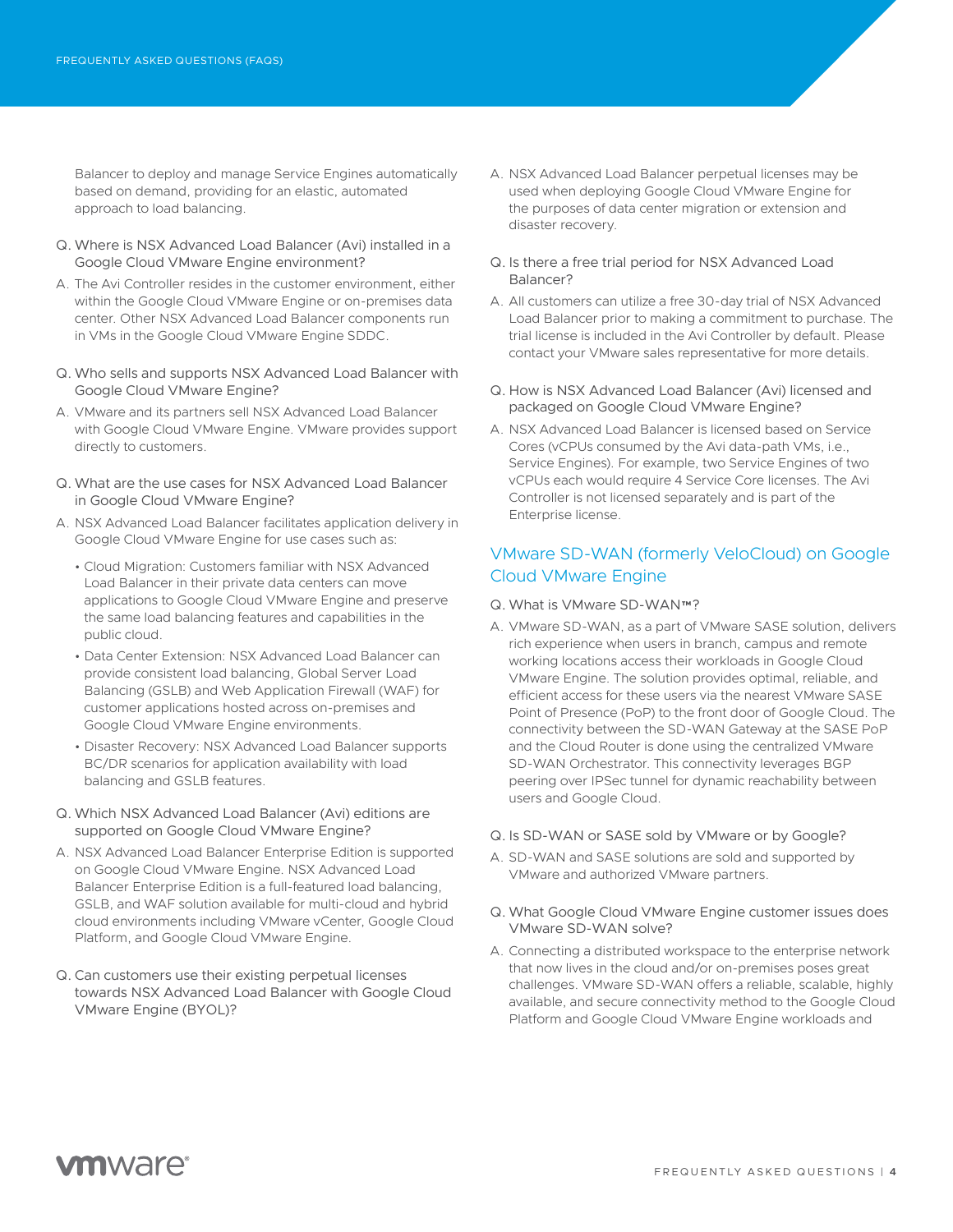Balancer to deploy and manage Service Engines automatically based on demand, providing for an elastic, automated approach to load balancing.

- Q. Where is NSX Advanced Load Balancer (Avi) installed in a Google Cloud VMware Engine environment?
- A. The Avi Controller resides in the customer environment, either within the Google Cloud VMware Engine or on-premises data center. Other NSX Advanced Load Balancer components run in VMs in the Google Cloud VMware Engine SDDC.
- Q. Who sells and supports NSX Advanced Load Balancer with Google Cloud VMware Engine?
- A. VMware and its partners sell NSX Advanced Load Balancer with Google Cloud VMware Engine. VMware provides support directly to customers.
- Q. What are the use cases for NSX Advanced Load Balancer in Google Cloud VMware Engine?
- A. NSX Advanced Load Balancer facilitates application delivery in Google Cloud VMware Engine for use cases such as:
	- Cloud Migration: Customers familiar with NSX Advanced Load Balancer in their private data centers can move applications to Google Cloud VMware Engine and preserve the same load balancing features and capabilities in the public cloud.
	- Data Center Extension: NSX Advanced Load Balancer can provide consistent load balancing, Global Server Load Balancing (GSLB) and Web Application Firewall (WAF) for customer applications hosted across on-premises and Google Cloud VMware Engine environments.
	- Disaster Recovery: NSX Advanced Load Balancer supports BC/DR scenarios for application availability with load balancing and GSLB features.
- Q. Which NSX Advanced Load Balancer (Avi) editions are supported on Google Cloud VMware Engine?
- A. NSX Advanced Load Balancer Enterprise Edition is supported on Google Cloud VMware Engine. NSX Advanced Load Balancer Enterprise Edition is a full-featured load balancing, GSLB, and WAF solution available for multi-cloud and hybrid cloud environments including VMware vCenter, Google Cloud Platform, and Google Cloud VMware Engine.
- Q. Can customers use their existing perpetual licenses towards NSX Advanced Load Balancer with Google Cloud VMware Engine (BYOL)?
- A. NSX Advanced Load Balancer perpetual licenses may be used when deploying Google Cloud VMware Engine for the purposes of data center migration or extension and disaster recovery.
- Q. Is there a free trial period for NSX Advanced Load Balancer?
- A. All customers can utilize a free 30-day trial of NSX Advanced Load Balancer prior to making a commitment to purchase. The trial license is included in the Avi Controller by default. Please contact your VMware sales representative for more details.
- Q. How is NSX Advanced Load Balancer (Avi) licensed and packaged on Google Cloud VMware Engine?
- A. NSX Advanced Load Balancer is licensed based on Service Cores (vCPUs consumed by the Avi data-path VMs, i.e., Service Engines). For example, two Service Engines of two vCPUs each would require 4 Service Core licenses. The Avi Controller is not licensed separately and is part of the Enterprise license.

### VMware SD-WAN (formerly VeloCloud) on Google Cloud VMware Engine

#### Q. What is VMware SD-WAN™?

- A. VMware SD-WAN, as a part of VMware SASE solution, delivers rich experience when users in branch, campus and remote working locations access their workloads in Google Cloud VMware Engine. The solution provides optimal, reliable, and efficient access for these users via the nearest VMware SASE Point of Presence (PoP) to the front door of Google Cloud. The connectivity between the SD-WAN Gateway at the SASE PoP and the Cloud Router is done using the centralized VMware SD-WAN Orchestrator. This connectivity leverages BGP peering over IPSec tunnel for dynamic reachability between users and Google Cloud.
- Q. Is SD-WAN or SASE sold by VMware or by Google?
- A. SD-WAN and SASE solutions are sold and supported by VMware and authorized VMware partners.
- Q. What Google Cloud VMware Engine customer issues does VMware SD-WAN solve?
- A. Connecting a distributed workspace to the enterprise network that now lives in the cloud and/or on-premises poses great challenges. VMware SD-WAN offers a reliable, scalable, highly available, and secure connectivity method to the Google Cloud Platform and Google Cloud VMware Engine workloads and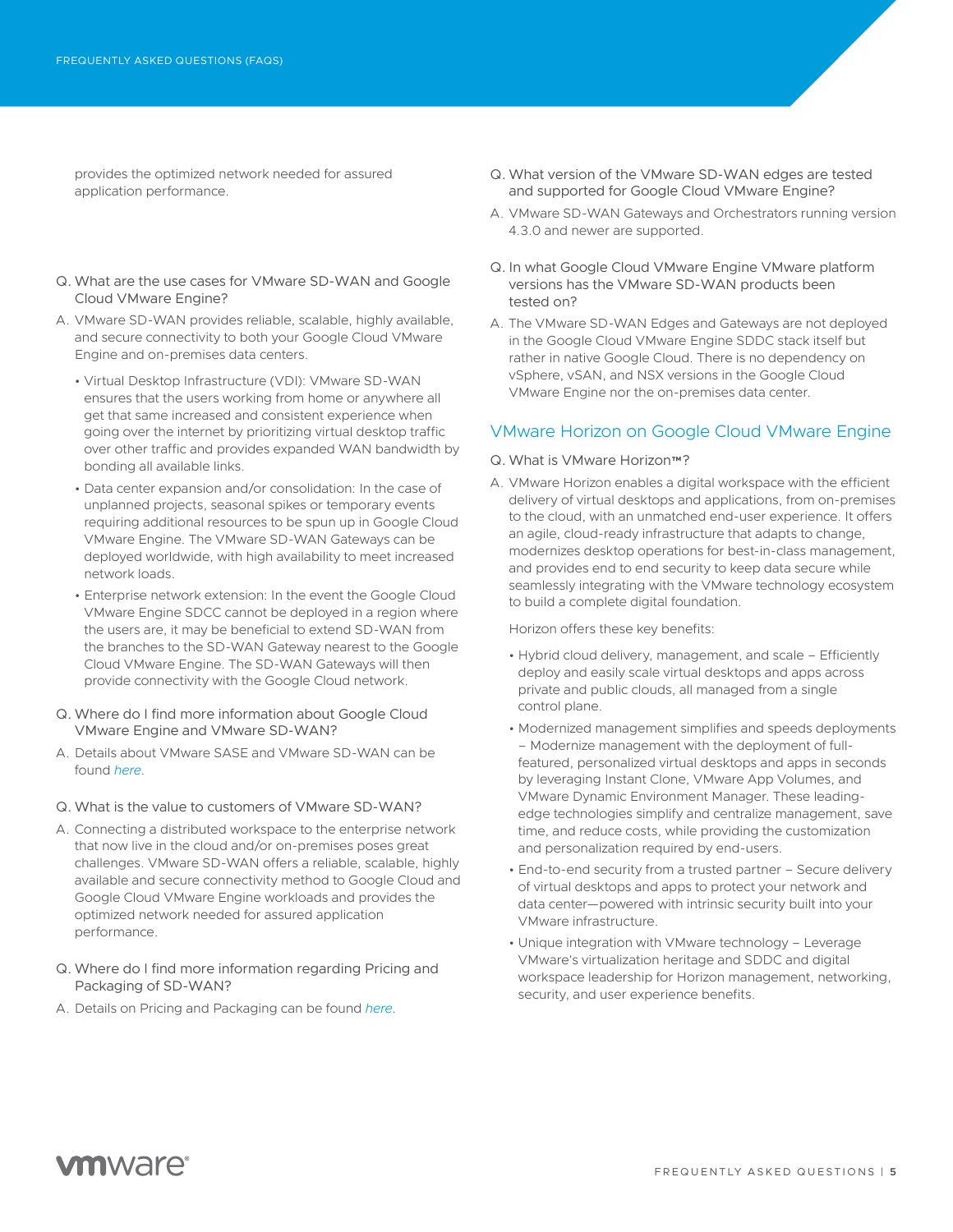provides the optimized network needed for assured application performance.

- Q. What are the use cases for VMware SD-WAN and Google Cloud VMware Engine?
- A. VMware SD-WAN provides reliable, scalable, highly available, and secure connectivity to both your Google Cloud VMware Engine and on-premises data centers.
	- Virtual Desktop Infrastructure (VDI): VMware SD-WAN ensures that the users working from home or anywhere all get that same increased and consistent experience when going over the internet by prioritizing virtual desktop traffic over other traffic and provides expanded WAN bandwidth by bonding all available links.
	- Data center expansion and/or consolidation: In the case of unplanned projects, seasonal spikes or temporary events requiring additional resources to be spun up in Google Cloud VMware Engine. The VMware SD-WAN Gateways can be deployed worldwide, with high availability to meet increased network loads.
	- Enterprise network extension: In the event the Google Cloud VMware Engine SDCC cannot be deployed in a region where the users are, it may be beneficial to extend SD-WAN from the branches to the SD-WAN Gateway nearest to the Google Cloud VMware Engine. The SD-WAN Gateways will then provide connectivity with the Google Cloud network.
- Q. Where do I find more information about Google Cloud VMware Engine and VMware SD-WAN?
- A. Details about VMware SASE and VMware SD-WAN can be found *[here](https://sase.vmware.com)*.
- Q. What is the value to customers of VMware SD-WAN?
- A. Connecting a distributed workspace to the enterprise network that now live in the cloud and/or on-premises poses great challenges. VMware SD-WAN offers a reliable, scalable, highly available and secure connectivity method to Google Cloud and Google Cloud VMware Engine workloads and provides the optimized network needed for assured application performance.
- Q. Where do I find more information regarding Pricing and Packaging of SD-WAN?
- A. Details on Pricing and Packaging can be found *[here](https://sase.vmware.com/products/pricing-and-configurations)*.
- Q. What version of the VMware SD-WAN edges are tested and supported for Google Cloud VMware Engine?
- A. VMware SD-WAN Gateways and Orchestrators running version 4.3.0 and newer are supported.
- Q. In what Google Cloud VMware Engine VMware platform versions has the VMware SD-WAN products been tested on?
- A. The VMware SD-WAN Edges and Gateways are not deployed in the Google Cloud VMware Engine SDDC stack itself but rather in native Google Cloud. There is no dependency on vSphere, vSAN, and NSX versions in the Google Cloud VMware Engine nor the on-premises data center.

#### VMware Horizon on Google Cloud VMware Engine

#### Q. What is VMware Horizon™?

A. VMware Horizon enables a digital workspace with the efficient delivery of virtual desktops and applications, from on-premises to the cloud, with an unmatched end-user experience. It offers an agile, cloud-ready infrastructure that adapts to change, modernizes desktop operations for best-in-class management, and provides end to end security to keep data secure while seamlessly integrating with the VMware technology ecosystem to build a complete digital foundation.

Horizon offers these key benefits:

- Hybrid cloud delivery, management, and scale Efficiently deploy and easily scale virtual desktops and apps across private and public clouds, all managed from a single control plane.
- Modernized management simplifies and speeds deployments – Modernize management with the deployment of fullfeatured, personalized virtual desktops and apps in seconds by leveraging Instant Clone, VMware App Volumes, and VMware Dynamic Environment Manager. These leadingedge technologies simplify and centralize management, save time, and reduce costs, while providing the customization and personalization required by end-users.
- End-to-end security from a trusted partner Secure delivery of virtual desktops and apps to protect your network and data center—powered with intrinsic security built into your VMware infrastructure.
- Unique integration with VMware technology Leverage VMware's virtualization heritage and SDDC and digital workspace leadership for Horizon management, networking, security, and user experience benefits.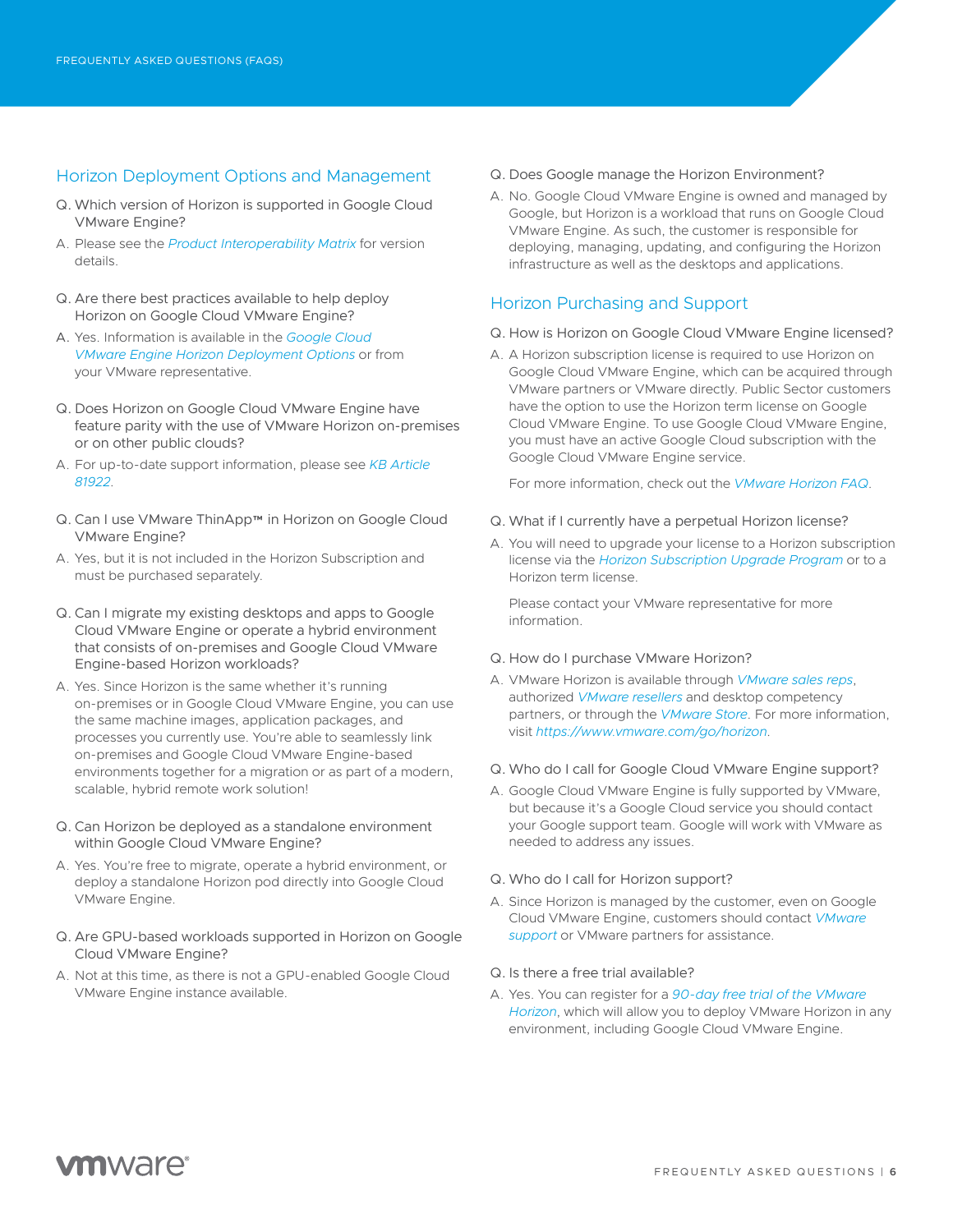### Horizon Deployment Options and Management

- Q. Which version of Horizon is supported in Google Cloud VMware Engine?
- A. Please see the *[Product Interoperability Matrix](https://interopmatrix.vmware.com/MultiCloud)* for version details.
- Q. Are there best practices available to help deploy Horizon on Google Cloud VMware Engine?
- A. Yes. Information is available in the *[Google Cloud](https://techzone.vmware.com/resource/horizon-on-google-cloud-vmware-engine-architecture#deployment-options)  [VMware Engine Horizon Deployment Options](https://techzone.vmware.com/resource/horizon-on-google-cloud-vmware-engine-architecture#deployment-options)* or from your VMware representative.
- Q. Does Horizon on Google Cloud VMware Engine have feature parity with the use of VMware Horizon on-premises or on other public clouds?
- A. For up-to-date support information, please see *[KB Article](https://kb.vmware.com/s/article/81922?lang=en_US&queryTerm=VMware+Horizon+on+google+cloud+vmware+engine)  [81922](https://kb.vmware.com/s/article/81922?lang=en_US&queryTerm=VMware+Horizon+on+google+cloud+vmware+engine)*.
- Q. Can I use VMware ThinApp™ in Horizon on Google Cloud VMware Engine?
- A. Yes, but it is not included in the Horizon Subscription and must be purchased separately.
- Q. Can I migrate my existing desktops and apps to Google Cloud VMware Engine or operate a hybrid environment that consists of on-premises and Google Cloud VMware Engine-based Horizon workloads?
- A. Yes. Since Horizon is the same whether it's running on-premises or in Google Cloud VMware Engine, you can use the same machine images, application packages, and processes you currently use. You're able to seamlessly link on-premises and Google Cloud VMware Engine-based environments together for a migration or as part of a modern, scalable, hybrid remote work solution!
- Q. Can Horizon be deployed as a standalone environment within Google Cloud VMware Engine?
- A. Yes. You're free to migrate, operate a hybrid environment, or deploy a standalone Horizon pod directly into Google Cloud VMware Engine.
- Q. Are GPU-based workloads supported in Horizon on Google Cloud VMware Engine?
- A. Not at this time, as there is not a GPU-enabled Google Cloud VMware Engine instance available.
- Q. Does Google manage the Horizon Environment?
- A. No. Google Cloud VMware Engine is owned and managed by Google, but Horizon is a workload that runs on Google Cloud VMware Engine. As such, the customer is responsible for deploying, managing, updating, and configuring the Horizon infrastructure as well as the desktops and applications.

#### Horizon Purchasing and Support

#### Q. How is Horizon on Google Cloud VMware Engine licensed?

A. A Horizon subscription license is required to use Horizon on Google Cloud VMware Engine, which can be acquired through VMware partners or VMware directly. Public Sector customers have the option to use the Horizon term license on Google Cloud VMware Engine. To use Google Cloud VMware Engine, you must have an active Google Cloud subscription with the Google Cloud VMware Engine service.

For more information, check out the *[VMware Horizon FAQ](https://www.vmware.com/content/dam/digitalmarketing/vmware/en/pdf/products/horizon/vmw-horizon-faqs.pdf)*.

- Q. What if I currently have a perpetual Horizon license?
- A. You will need to upgrade your license to a Horizon subscription license via the *[Horizon Subscription Upgrade Program](https://www.vmware.com/promotions/2019-subscription-upgrade-program-horizon.html)* or to a Horizon term license.

Please contact your VMware representative for more information.

- Q. How do I purchase VMware Horizon?
- A. VMware Horizon is available through *[VMware sales reps](https://www.vmware.com/company/contact_sales.html)*, authorized *[VMware resellers](https://partnerlocator.vmware.com/#sort=relevancy)* and desktop competency partners, or through the *[VMware Store](https://store-us.vmware.com/)*. For more information, visit *<https://www.vmware.com/go/horizon>*.

#### Q. Who do I call for Google Cloud VMware Engine support?

A. Google Cloud VMware Engine is fully supported by VMware, but because it's a Google Cloud service you should contact your Google support team. Google will work with VMware as needed to address any issues.

#### Q. Who do I call for Horizon support?

A. Since Horizon is managed by the customer, even on Google Cloud VMware Engine, customers should contact *[VMware](https://www.vmware.com/support/services.html)  [support](https://www.vmware.com/support/services.html)* or VMware partners for assistance.

#### Q. Is there a free trial available?

A. Yes. You can register for a *[90-day free trial of the VMware](https://my.vmware.com/en/web/vmware/evalcenter?p=horizon-eval-8&src=WWW_HrzOld_TopNav_DownloadFreeTrail)  [Horizon](https://my.vmware.com/en/web/vmware/evalcenter?p=horizon-eval-8&src=WWW_HrzOld_TopNav_DownloadFreeTrail)*, which will allow you to deploy VMware Horizon in any environment, including Google Cloud VMware Engine.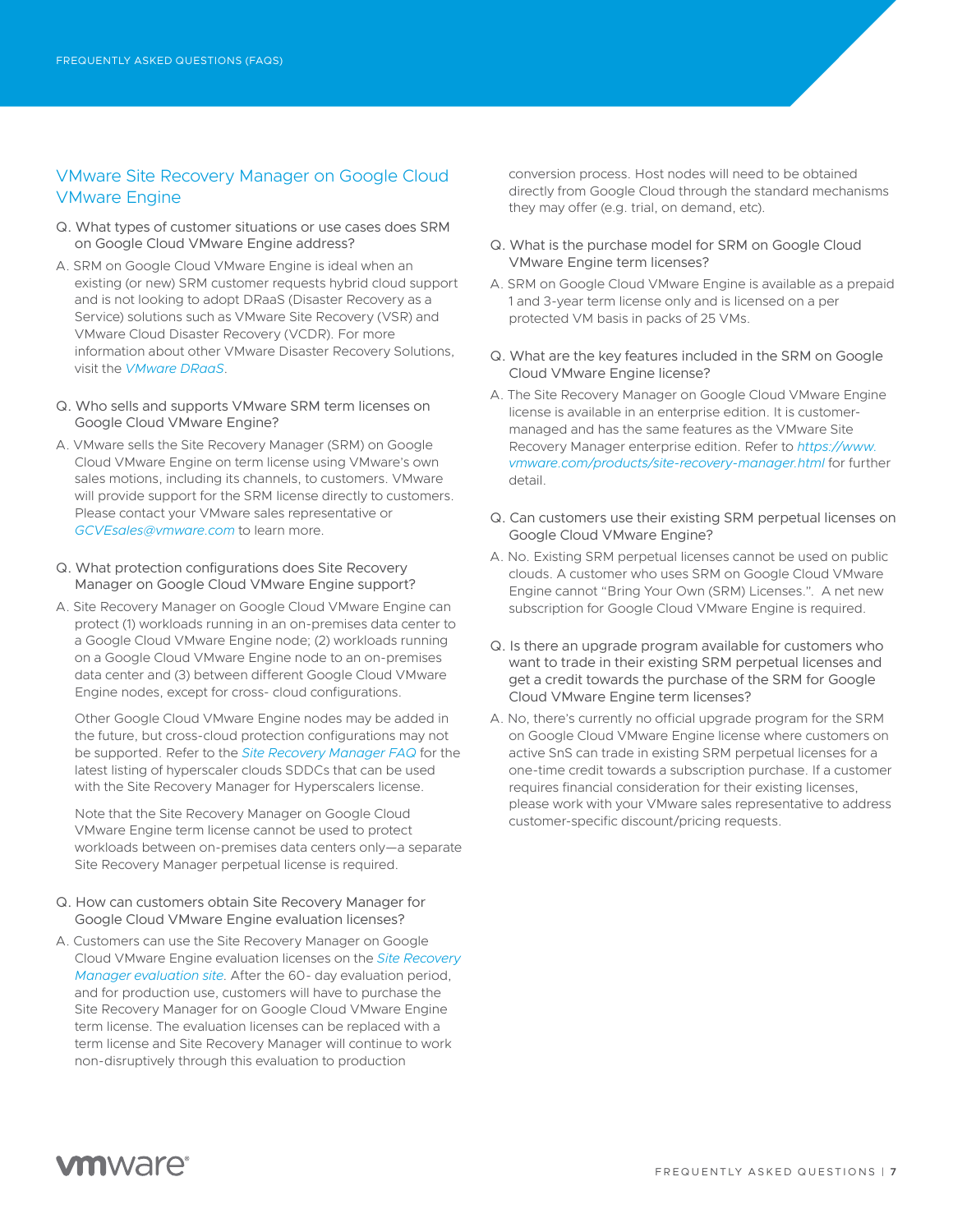### VMware Site Recovery Manager on Google Cloud VMware Engine

- Q. What types of customer situations or use cases does SRM on Google Cloud VMware Engine address?
- A. SRM on Google Cloud VMware Engine is ideal when an existing (or new) SRM customer requests hybrid cloud support and is not looking to adopt DRaaS (Disaster Recovery as a Service) solutions such as VMware Site Recovery (VSR) and VMware Cloud Disaster Recovery (VCDR). For more information about other VMware Disaster Recovery Solutions, visit the *[VMware DRaaS](https://www.vmware.com/solutions/disaster-recovery.html)*.
- Q. Who sells and supports VMware SRM term licenses on Google Cloud VMware Engine?
- A. VMware sells the Site Recovery Manager (SRM) on Google Cloud VMware Engine on term license using VMware's own sales motions, including its channels, to customers. VMware will provide support for the SRM license directly to customers. Please contact your VMware sales representative or *[GCVEsales@vmware.com](mailto:GCVEsales%40vmware.com?subject=VMware%20Site%20Recovery%20Manager%20term%20licenses)* to learn more.
- Q. What protection configurations does Site Recovery Manager on Google Cloud VMware Engine support?
- A. Site Recovery Manager on Google Cloud VMware Engine can protect (1) workloads running in an on-premises data center to a Google Cloud VMware Engine node; (2) workloads running on a Google Cloud VMware Engine node to an on-premises data center and (3) between different Google Cloud VMware Engine nodes, except for cross- cloud configurations.

Other Google Cloud VMware Engine nodes may be added in the future, but cross-cloud protection configurations may not be supported. Refer to the *[Site Recovery Manager FAQ](https://core.vmware.com/resource/site-recovery-manager-faq)* for the latest listing of hyperscaler clouds SDDCs that can be used with the Site Recovery Manager for Hyperscalers license.

Note that the Site Recovery Manager on Google Cloud VMware Engine term license cannot be used to protect workloads between on-premises data centers only—a separate Site Recovery Manager perpetual license is required.

- Q. How can customers obtain Site Recovery Manager for Google Cloud VMware Engine evaluation licenses?
- A. Customers can use the Site Recovery Manager on Google Cloud VMware Engine evaluation licenses on the *[Site Recovery](https://customerconnect.vmware.com/en/web/vmware/evalcenter?p=srm-eval&src=vmw_so_vex_tdege_155)  [Manager evaluation site](https://customerconnect.vmware.com/en/web/vmware/evalcenter?p=srm-eval&src=vmw_so_vex_tdege_155)*. After the 60- day evaluation period, and for production use, customers will have to purchase the Site Recovery Manager for on Google Cloud VMware Engine term license. The evaluation licenses can be replaced with a term license and Site Recovery Manager will continue to work non-disruptively through this evaluation to production

conversion process. Host nodes will need to be obtained directly from Google Cloud through the standard mechanisms they may offer (e.g. trial, on demand, etc).

- Q. What is the purchase model for SRM on Google Cloud VMware Engine term licenses?
- A. SRM on Google Cloud VMware Engine is available as a prepaid 1 and 3-year term license only and is licensed on a per protected VM basis in packs of 25 VMs.
- Q. What are the key features included in the SRM on Google Cloud VMware Engine license?
- A. The Site Recovery Manager on Google Cloud VMware Engine license is available in an enterprise edition. It is customermanaged and has the same features as the VMware Site Recovery Manager enterprise edition. Refer to *[https://www.](https://www.vmware.com/products/site-recovery-manager.html) [vmware.com/products/site-recovery-manager.html](https://www.vmware.com/products/site-recovery-manager.html)* for further detail.
- Q. Can customers use their existing SRM perpetual licenses on Google Cloud VMware Engine?
- A. No. Existing SRM perpetual licenses cannot be used on public clouds. A customer who uses SRM on Google Cloud VMware Engine cannot "Bring Your Own (SRM) Licenses.". A net new subscription for Google Cloud VMware Engine is required.
- Q. Is there an upgrade program available for customers who want to trade in their existing SRM perpetual licenses and get a credit towards the purchase of the SRM for Google Cloud VMware Engine term licenses?
- A. No, there's currently no official upgrade program for the SRM on Google Cloud VMware Engine license where customers on active SnS can trade in existing SRM perpetual licenses for a one-time credit towards a subscription purchase. If a customer requires financial consideration for their existing licenses, please work with your VMware sales representative to address customer-specific discount/pricing requests.